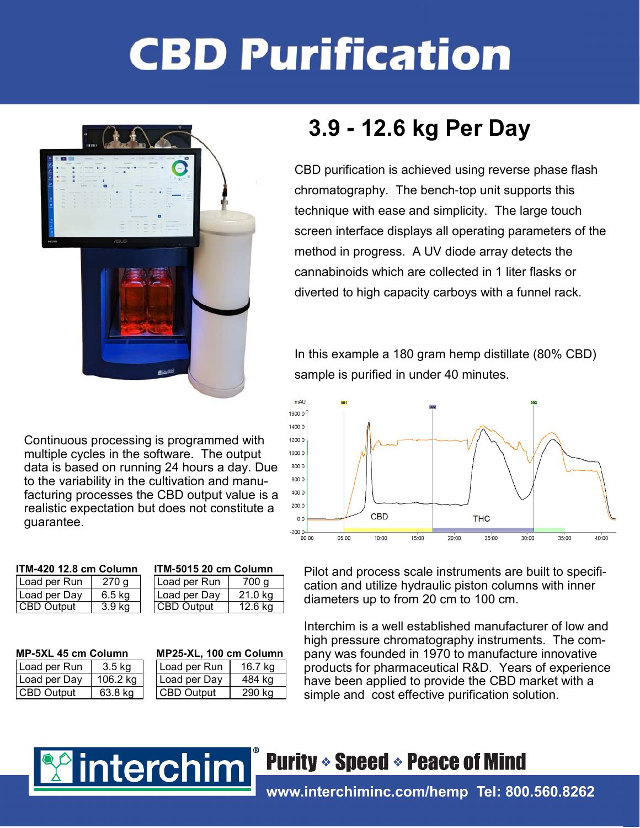# **CBD Purification**



Continuous processing is programmed with multiple cycles in the software. The output data is based on running 24 hours a day. Due to the variability in the cultivation and manufacturing processes the CBD output value is a realistic expectation but does not constitute a guarantee.

#### ITM**-**420 12.8 cm Column ITM**-**5015 20 cm Column

| Load per Run      | 270 g             | Load per Run       | 700 g   |
|-------------------|-------------------|--------------------|---------|
| Load per Day      | 6.5 kg            | Load per Day       | 21.0 ka |
| <b>CBD Output</b> | 3.9 <sub>kg</sub> | <b>ICBD Output</b> | 12.6 kg |

interchim

| Load per Run | $3.5 \text{ kg}$ |
|--------------|------------------|
| Load per Day | 106.2 kg         |
| CBD Output   | 63.8 kg          |

| II M-90 I 9 ZU CIII GOIUIIIII |                  |  |  |  |  |
|-------------------------------|------------------|--|--|--|--|
| Load per Run                  | 700 <sub>g</sub> |  |  |  |  |
| Load per Day                  | 21.0 kg          |  |  |  |  |
| CBD Output                    | 12.6 kg          |  |  |  |  |
|                               |                  |  |  |  |  |

### MP**-**5XL 45 cm Column MP25**-**XL, 100 cm Column

| Load per Run      | 3.5 kg   | Load per Run       | 16.7 kg |
|-------------------|----------|--------------------|---------|
| Load per Dav      | 106.2 kg | I Load per Dav     | 484 kg  |
| <b>CBD Output</b> | 63.8 ka  | <b>ICBD Output</b> | 290 ka  |

## 3.9 **-** 12.6 kg Per Day

CBD purification is achieved using reverse phase flash chromatography. The bench-top unit supports this technique with ease and simplicity. The large touch screen interface displays all operating parameters of the method in progress. A UV diode array detects the cannabinoids which are collected in 1 liter flasks or diverted to high capacity carboys with a funnel rack.

In this example a 180 gram hemp distillate (80% CBD) sample is purified in under 40 minutes.



Pilot and process scale instruments are built to specification and utilize hydraulic piston columns with inner diameters up to from 20 cm to 100 cm.

Interchim is a well established manufacturer of low and high pressure chromatography instruments. The company was founded in 1970 to manufacture innovative products for pharmaceutical R&D. Years of experience have been applied to provide the CBD market with a simple and cost effective purification solution.



## www.interchiminc.com/hemp Tel: 800.560.8262